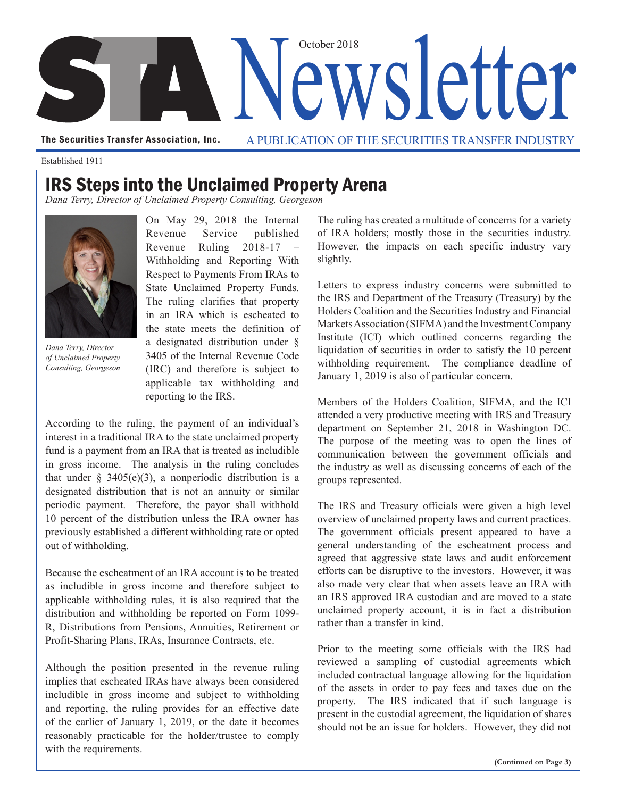

The Securities Transfer Association, Inc. A PUBLICATION OF THE SECURITIES TRANSFER INDUSTRY

Established 1911

## IRS Steps into the Unclaimed Property Arena

*Dana Terry, Director of Unclaimed Property Consulting, Georgeson* 



*Dana Terry, Director of Unclaimed Property Consulting, Georgeson* 

On May 29, 2018 the Internal Revenue Service published Revenue Ruling 2018-17 – Withholding and Reporting With Respect to Payments From IRAs to State Unclaimed Property Funds. The ruling clarifies that property in an IRA which is escheated to the state meets the definition of a designated distribution under § 3405 of the Internal Revenue Code (IRC) and therefore is subject to applicable tax withholding and reporting to the IRS.

According to the ruling, the payment of an individual's interest in a traditional IRA to the state unclaimed property fund is a payment from an IRA that is treated as includible in gross income. The analysis in the ruling concludes that under  $\S$  3405(e)(3), a nonperiodic distribution is a designated distribution that is not an annuity or similar periodic payment. Therefore, the payor shall withhold 10 percent of the distribution unless the IRA owner has previously established a different withholding rate or opted out of withholding.

Because the escheatment of an IRA account is to be treated as includible in gross income and therefore subject to applicable withholding rules, it is also required that the distribution and withholding be reported on Form 1099- R, Distributions from Pensions, Annuities, Retirement or Profit-Sharing Plans, IRAs, Insurance Contracts, etc.

Although the position presented in the revenue ruling implies that escheated IRAs have always been considered includible in gross income and subject to withholding and reporting, the ruling provides for an effective date of the earlier of January 1, 2019, or the date it becomes reasonably practicable for the holder/trustee to comply with the requirements.

The ruling has created a multitude of concerns for a variety of IRA holders; mostly those in the securities industry. However, the impacts on each specific industry vary slightly.

Letters to express industry concerns were submitted to the IRS and Department of the Treasury (Treasury) by the Holders Coalition and the Securities Industry and Financial Markets Association (SIFMA) and the Investment Company Institute (ICI) which outlined concerns regarding the liquidation of securities in order to satisfy the 10 percent withholding requirement. The compliance deadline of January 1, 2019 is also of particular concern.

Members of the Holders Coalition, SIFMA, and the ICI attended a very productive meeting with IRS and Treasury department on September 21, 2018 in Washington DC. The purpose of the meeting was to open the lines of communication between the government officials and the industry as well as discussing concerns of each of the groups represented.

The IRS and Treasury officials were given a high level overview of unclaimed property laws and current practices. The government officials present appeared to have a general understanding of the escheatment process and agreed that aggressive state laws and audit enforcement efforts can be disruptive to the investors. However, it was also made very clear that when assets leave an IRA with an IRS approved IRA custodian and are moved to a state unclaimed property account, it is in fact a distribution rather than a transfer in kind.

Prior to the meeting some officials with the IRS had reviewed a sampling of custodial agreements which included contractual language allowing for the liquidation of the assets in order to pay fees and taxes due on the property. The IRS indicated that if such language is present in the custodial agreement, the liquidation of shares should not be an issue for holders. However, they did not